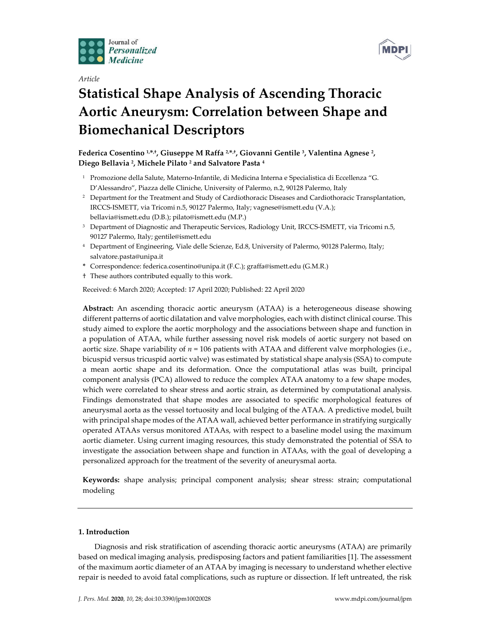





# **Statistical Shape Analysis of Ascending Thoracic Aortic Aneurysm: Correlation between Shape and Biomechanical Descriptors**

**Federica Cosentino 1, \*,†, Giuseppe M Raffa 2, \*,†, Giovanni Gentile 3, Valentina Agnese 2, Diego Bellavia 2, Michele Pilato <sup>2</sup> and Salvatore Pasta <sup>4</sup>**

- <sup>1</sup> Promozione della Salute, Materno-Infantile, di Medicina Interna e Specialistica di Eccellenza "G. D'Alessandro", Piazza delle Cliniche, University of Palermo, n.2, 90128 Palermo, Italy
- <sup>2</sup> Department for the Treatment and Study of Cardiothoracic Diseases and Cardiothoracic Transplantation, IRCCS-ISMETT, via Tricomi n.5, 90127 Palermo, Italy; vagnese@ismett.edu (V.A.); bellavia@ismett.edu (D.B.); pilato@ismett.edu (M.P.)
- <sup>3</sup> Department of Diagnostic and Therapeutic Services, Radiology Unit, IRCCS-ISMETT, via Tricomi n.5, 90127 Palermo, Italy; gentile@ismett.edu
- <sup>4</sup> Department of Engineering, Viale delle Scienze, Ed.8, University of Palermo, 90128 Palermo, Italy; salvatore.pasta@unipa.it
- **\*** Correspondence: federica.cosentino@unipa.it (F.C.); graffa@ismett.edu (G.M.R.)
- † These authors contributed equally to this work.

Received: 6 March 2020; Accepted: 17 April 2020; Published: 22 April 2020

**Abstract:** An ascending thoracic aortic aneurysm (ATAA) is a heterogeneous disease showing different patterns of aortic dilatation and valve morphologies, each with distinct clinical course. This study aimed to explore the aortic morphology and the associations between shape and function in a population of ATAA, while further assessing novel risk models of aortic surgery not based on aortic size. Shape variability of  $n = 106$  patients with ATAA and different valve morphologies (i.e., bicuspid versus tricuspid aortic valve) was estimated by statistical shape analysis (SSA) to compute a mean aortic shape and its deformation. Once the computational atlas was built, principal component analysis (PCA) allowed to reduce the complex ATAA anatomy to a few shape modes, which were correlated to shear stress and aortic strain, as determined by computational analysis. Findings demonstrated that shape modes are associated to specific morphological features of aneurysmal aorta as the vessel tortuosity and local bulging of the ATAA. A predictive model, built with principal shape modes of the ATAA wall, achieved better performance in stratifying surgically operated ATAAs versus monitored ATAAs, with respect to a baseline model using the maximum aortic diameter. Using current imaging resources, this study demonstrated the potential of SSA to investigate the association between shape and function in ATAAs, with the goal of developing a personalized approach for the treatment of the severity of aneurysmal aorta.

**Keywords:** shape analysis; principal component analysis; shear stress: strain; computational modeling

## **1. Introduction**

Diagnosis and risk stratification of ascending thoracic aortic aneurysms (ATAA) are primarily based on medical imaging analysis, predisposing factors and patient familiarities [1]. The assessment of the maximum aortic diameter of an ATAA by imaging is necessary to understand whether elective repair is needed to avoid fatal complications, such as rupture or dissection. If left untreated, the risk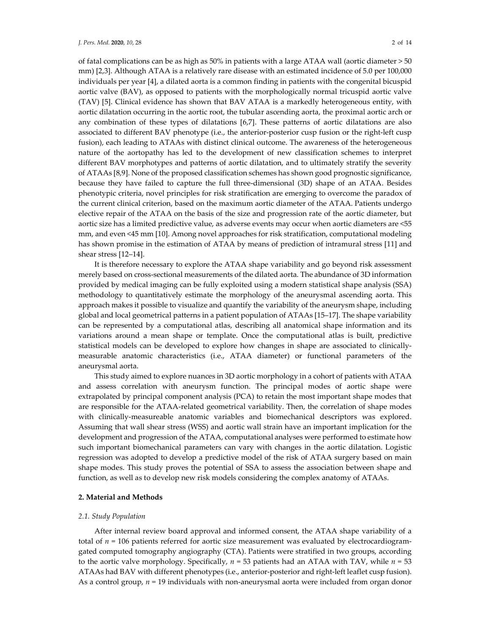of fatal complications can be as high as 50% in patients with a large ATAA wall (aortic diameter > 50 mm) [2,3]. Although ATAA is a relatively rare disease with an estimated incidence of 5.0 per 100,000 individuals per year [4], a dilated aorta is a common finding in patients with the congenital bicuspid aortic valve (BAV), as opposed to patients with the morphologically normal tricuspid aortic valve (TAV) [5]. Clinical evidence has shown that BAV ATAA is a markedly heterogeneous entity, with aortic dilatation occurring in the aortic root, the tubular ascending aorta, the proximal aortic arch or any combination of these types of dilatations [6,7]. These patterns of aortic dilatations are also associated to different BAV phenotype (i.e., the anterior-posterior cusp fusion or the right-left cusp fusion), each leading to ATAAs with distinct clinical outcome. The awareness of the heterogeneous nature of the aortopathy has led to the development of new classification schemes to interpret different BAV morphotypes and patterns of aortic dilatation, and to ultimately stratify the severity of ATAAs [8,9]. None of the proposed classification schemes has shown good prognostic significance, because they have failed to capture the full three-dimensional (3D) shape of an ATAA. Besides phenotypic criteria, novel principles for risk stratification are emerging to overcome the paradox of the current clinical criterion, based on the maximum aortic diameter of the ATAA. Patients undergo elective repair of the ATAA on the basis of the size and progression rate of the aortic diameter, but aortic size has a limited predictive value, as adverse events may occur when aortic diameters are <55 mm, and even <45 mm [10]. Among novel approaches for risk stratification, computational modeling has shown promise in the estimation of ATAA by means of prediction of intramural stress [11] and shear stress [12–14].

It is therefore necessary to explore the ATAA shape variability and go beyond risk assessment merely based on cross-sectional measurements of the dilated aorta. The abundance of 3D information provided by medical imaging can be fully exploited using a modern statistical shape analysis (SSA) methodology to quantitatively estimate the morphology of the aneurysmal ascending aorta. This approach makes it possible to visualize and quantify the variability of the aneurysm shape, including global and local geometrical patterns in a patient population of ATAAs [15–17]. The shape variability can be represented by a computational atlas, describing all anatomical shape information and its variations around a mean shape or template. Once the computational atlas is built, predictive statistical models can be developed to explore how changes in shape are associated to clinicallymeasurable anatomic characteristics (i.e., ATAA diameter) or functional parameters of the aneurysmal aorta.

This study aimed to explore nuances in 3D aortic morphology in a cohort of patients with ATAA and assess correlation with aneurysm function. The principal modes of aortic shape were extrapolated by principal component analysis (PCA) to retain the most important shape modes that are responsible for the ATAA-related geometrical variability. Then, the correlation of shape modes with clinically-measureable anatomic variables and biomechanical descriptors was explored. Assuming that wall shear stress (WSS) and aortic wall strain have an important implication for the development and progression of the ATAA, computational analyses were performed to estimate how such important biomechanical parameters can vary with changes in the aortic dilatation. Logistic regression was adopted to develop a predictive model of the risk of ATAA surgery based on main shape modes. This study proves the potential of SSA to assess the association between shape and function, as well as to develop new risk models considering the complex anatomy of ATAAs.

## **2. Material and Methods**

## *2.1. Study Population*

After internal review board approval and informed consent, the ATAA shape variability of a total of  $n = 106$  patients referred for aortic size measurement was evaluated by electrocardiogramgated computed tomography angiography (CTA). Patients were stratified in two groups, according to the aortic valve morphology. Specifically, *n* = 53 patients had an ATAA with TAV, while *n* = 53 ATAAs had BAV with different phenotypes (i.e., anterior-posterior and right-left leaflet cusp fusion). As a control group, *n* = 19 individuals with non-aneurysmal aorta were included from organ donor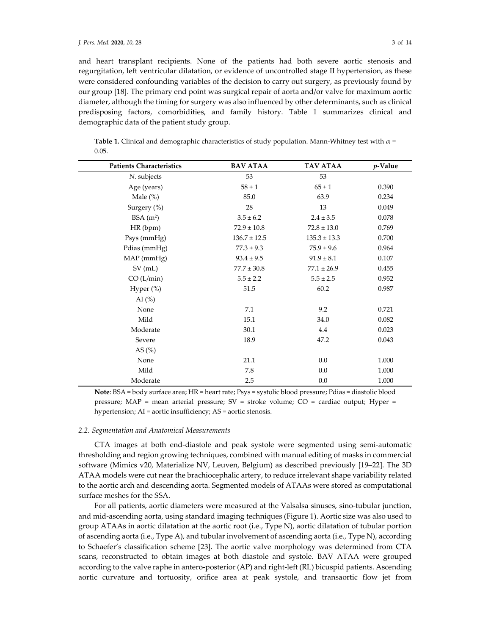and heart transplant recipients. None of the patients had both severe aortic stenosis and regurgitation, left ventricular dilatation, or evidence of uncontrolled stage II hypertension, as these were considered confounding variables of the decision to carry out surgery, as previously found by our group [18]. The primary end point was surgical repair of aorta and/or valve for maximum aortic diameter, although the timing for surgery was also influenced by other determinants, such as clinical predisposing factors, comorbidities, and family history. Table 1 summarizes clinical and demographic data of the patient study group.

| <b>Patients Characteristics</b> | <b>BAV ATAA</b>  | <b>TAV ATAA</b>  | $p$ -Value |
|---------------------------------|------------------|------------------|------------|
| N. subjects                     | 53               | 53               |            |
| Age (years)                     | $58 \pm 1$       | $65\pm1$         | 0.390      |
| Male $(\%)$                     | 85.0             | 63.9             | 0.234      |
| Surgery (%)                     | 28               | 13               | 0.049      |
| BSA $(m^2)$                     | $3.5 \pm 6.2$    | $2.4 \pm 3.5$    | 0.078      |
| HR(bpm)                         | $72.9 \pm 10.8$  | $72.8 \pm 13.0$  | 0.769      |
| Psys(mmHg)                      | $136.7 \pm 12.5$ | $135.3 \pm 13.3$ | 0.700      |
| Pdias (mmHg)                    | $77.3 \pm 9.3$   | $75.9 \pm 9.6$   | 0.964      |
| MAP (mmHg)                      | $93.4 \pm 9.5$   | $91.9 \pm 8.1$   | 0.107      |
| $SV$ (mL)                       | $77.7 \pm 30.8$  | $77.1 \pm 26.9$  | 0.455      |
| CO(L/min)                       | $5.5 \pm 2.2$    | $5.5 \pm 2.5$    | 0.952      |
| Hyper (%)                       | 51.5             | 60.2             | 0.987      |
| AI $(\%)$                       |                  |                  |            |
| None                            | 7.1              | 9.2              | 0.721      |
| Mild                            | 15.1             | 34.0             | 0.082      |
| Moderate                        | 30.1             | 4.4              | 0.023      |
| Severe                          | 18.9             | 47.2             | 0.043      |
| AS $(\% )$                      |                  |                  |            |
| None                            | 21.1             | 0.0              | 1.000      |
| Mild                            | 7.8              | 0.0              | 1.000      |
| Moderate                        | 2.5              | 0.0              | 1.000      |

**Table 1.** Clinical and demographic characteristics of study population. Mann-Whitney test with α = 0.05.

**Note**: BSA = body surface area; HR = heart rate; Psys = systolic blood pressure; Pdias = diastolic blood pressure; MAP = mean arterial pressure; SV = stroke volume; CO = cardiac output; Hyper = hypertension; AI = aortic insufficiency; AS = aortic stenosis.

#### *2.2. Segmentation and Anatomical Measurements*

CTA images at both end-diastole and peak systole were segmented using semi-automatic thresholding and region growing techniques, combined with manual editing of masks in commercial software (Mimics v20, Materialize NV, Leuven, Belgium) as described previously [19–22]. The 3D ATAA models were cut near the brachiocephalic artery, to reduce irrelevant shape variability related to the aortic arch and descending aorta. Segmented models of ATAAs were stored as computational surface meshes for the SSA.

For all patients, aortic diameters were measured at the Valsalsa sinuses, sino-tubular junction, and mid-ascending aorta, using standard imaging techniques (Figure 1). Aortic size was also used to group ATAAs in aortic dilatation at the aortic root (i.e., Type N), aortic dilatation of tubular portion of ascending aorta (i.e., Type A), and tubular involvement of ascending aorta (i.e., Type N), according to Schaefer's classification scheme [23]. The aortic valve morphology was determined from CTA scans, reconstructed to obtain images at both diastole and systole. BAV ATAA were grouped according to the valve raphe in antero-posterior (AP) and right-left (RL) bicuspid patients. Ascending aortic curvature and tortuosity, orifice area at peak systole, and transaortic flow jet from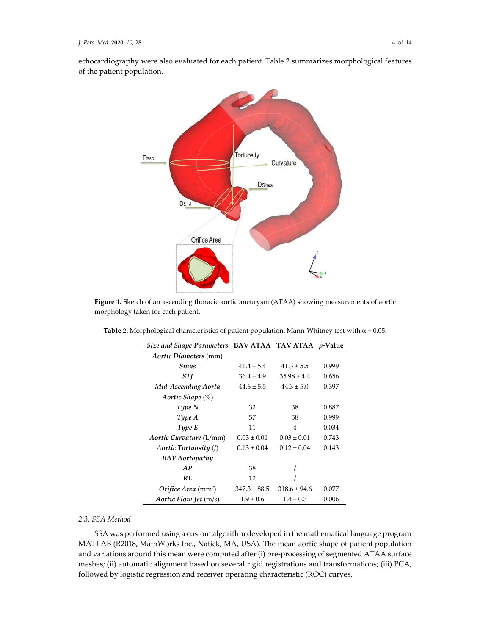

**Figure 1.** Sketch of an ascending thoracic aortic aneurysm (ATAA) showing measurements of aortic morphology taken for each patient.

| <b>Size and Shape Parameters</b>       |                  | <b>BAV ATAA TAV ATAA p-Value</b> |       |
|----------------------------------------|------------------|----------------------------------|-------|
| <i>Aortic Diameters</i> (mm)           |                  |                                  |       |
| <b>Sinus</b>                           | $41.4 + 5.4$     | $41.3 \pm 5.5$                   | 0.999 |
| STJ                                    | $36.4 \pm 4.9$   | $35.98 \pm 4.4$                  | 0.656 |
| Mid-Ascending Aorta                    | $44.6 \pm 5.5$   | $44.3 \pm 5.0$                   | 0.397 |
| Aortic Shape (%)                       |                  |                                  |       |
| Type N                                 | 32               | 38                               | 0.887 |
| Type A                                 | 57               | 58                               | 0.999 |
| Type E                                 | 11               | 4                                | 0.034 |
| <i>Aortic Curvature (L/mm)</i>         | $0.03 \pm 0.01$  | $0.03 \pm 0.01$                  | 0.743 |
| Aortic Tortuosity $\langle \rangle$    | $0.13 \pm 0.04$  | $0.12 \pm 0.04$                  | 0.143 |
| <b>BAV</b> Aortopathy                  |                  |                                  |       |
| AP                                     | 38               |                                  |       |
| RL                                     | 12               |                                  |       |
| <i>Orifice Area</i> (mm <sup>2</sup> ) | $347.3 \pm 88.5$ | $318.6 \pm 94.6$                 | 0.077 |
| <i>Aortic Flow Jet (m/s)</i>           | $1.9 \pm 0.6$    | $1.4 \pm 0.3$                    | 0.006 |

**Table 2.** Morphological characteristics of patient population. Mann-Whitney test with  $\alpha$  = 0.05.

## *2.3. SSA Method*

SSA was performed using a custom algorithm developed in the mathematical language program MATLAB (R2018, MathWorks Inc., Natick, MA, USA). The mean aortic shape of patient population and variations around this mean were computed after (i) pre-processing of segmented ATAA surface meshes; (ii) automatic alignment based on several rigid registrations and transformations; (iii) PCA, followed by logistic regression and receiver operating characteristic (ROC) curves.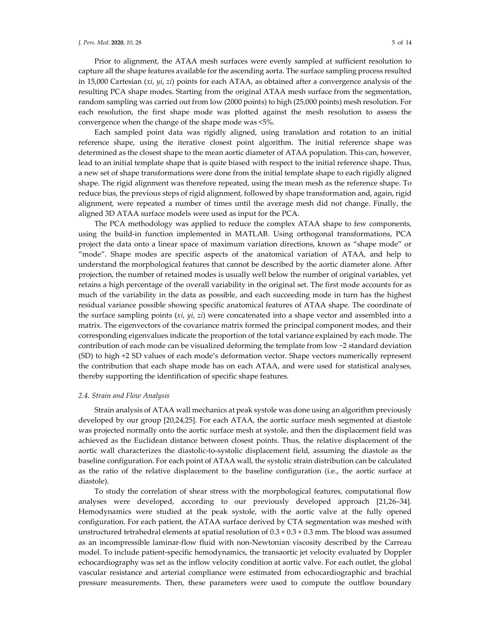Prior to alignment, the ATAA mesh surfaces were evenly sampled at sufficient resolution to capture all the shape features available for the ascending aorta. The surface sampling process resulted in 15,000 Cartesian (*xi*, *yi*, *zi*) points for each ATAA, as obtained after a convergence analysis of the resulting PCA shape modes. Starting from the original ATAA mesh surface from the segmentation, random sampling was carried out from low (2000 points) to high (25,000 points) mesh resolution. For each resolution, the first shape mode was plotted against the mesh resolution to assess the convergence when the change of the shape mode was <5%.

Each sampled point data was rigidly aligned, using translation and rotation to an initial reference shape, using the iterative closest point algorithm. The initial reference shape was determined as the closest shape to the mean aortic diameter of ATAA population. This can, however, lead to an initial template shape that is quite biased with respect to the initial reference shape. Thus, a new set of shape transformations were done from the initial template shape to each rigidly aligned shape. The rigid alignment was therefore repeated, using the mean mesh as the reference shape. To reduce bias, the previous steps of rigid alignment, followed by shape transformation and, again, rigid alignment, were repeated a number of times until the average mesh did not change. Finally, the aligned 3D ATAA surface models were used as input for the PCA.

The PCA methodology was applied to reduce the complex ATAA shape to few components, using the build-in function implemented in MATLAB. Using orthogonal transformations, PCA project the data onto a linear space of maximum variation directions, known as "shape mode" or "mode". Shape modes are specific aspects of the anatomical variation of ATAA, and help to understand the morphological features that cannot be described by the aortic diameter alone. After projection, the number of retained modes is usually well below the number of original variables, yet retains a high percentage of the overall variability in the original set. The first mode accounts for as much of the variability in the data as possible, and each succeeding mode in turn has the highest residual variance possible showing specific anatomical features of ATAA shape. The coordinate of the surface sampling points (*xi*, *yi*, *zi*) were concatenated into a shape vector and assembled into a matrix. The eigenvectors of the covariance matrix formed the principal component modes, and their corresponding eigenvalues indicate the proportion of the total variance explained by each mode. The contribution of each mode can be visualized deforming the template from low −2 standard deviation (SD) to high +2 SD values of each mode's deformation vector. Shape vectors numerically represent the contribution that each shape mode has on each ATAA, and were used for statistical analyses, thereby supporting the identification of specific shape features.

## *2.4. Strain and Flow Analysis*

Strain analysis of ATAA wall mechanics at peak systole was done using an algorithm previously developed by our group [20,24,25]. For each ATAA, the aortic surface mesh segmented at diastole was projected normally onto the aortic surface mesh at systole, and then the displacement field was achieved as the Euclidean distance between closest points. Thus, the relative displacement of the aortic wall characterizes the diastolic-to-systolic displacement field, assuming the diastole as the baseline configuration. For each point of ATAA wall, the systolic strain distribution can be calculated as the ratio of the relative displacement to the baseline configuration (i.e., the aortic surface at diastole).

To study the correlation of shear stress with the morphological features, computational flow analyses were developed, according to our previously developed approach [21,26–34]. Hemodynamics were studied at the peak systole, with the aortic valve at the fully opened configuration. For each patient, the ATAA surface derived by CTA segmentation was meshed with unstructured tetrahedral elements at spatial resolution of  $0.3 \times 0.3 \times 0.3$  mm. The blood was assumed as an incompressible laminar-flow fluid with non-Newtonian viscosity described by the Carreau model. To include patient-specific hemodynamics, the transaortic jet velocity evaluated by Doppler echocardiography was set as the inflow velocity condition at aortic valve. For each outlet, the global vascular resistance and arterial compliance were estimated from echocardiographic and brachial pressure measurements. Then, these parameters were used to compute the outflow boundary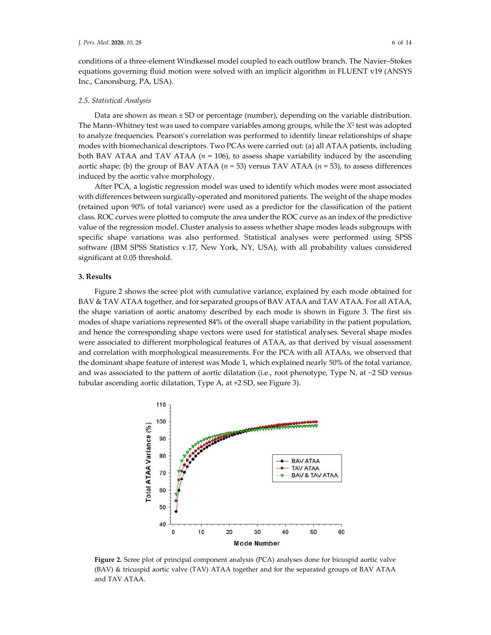conditions of a three-element Windkessel model coupled to each outflow branch. The Navier–Stokes equations governing fluid motion were solved with an implicit algorithm in FLUENT v19 (ANSYS Inc., Canonsburg, PA, USA).

### *2.5. Statistical Analysis*

Data are shown as mean  $\pm$  SD or percentage (number), depending on the variable distribution. The Mann–Whitney test was used to compare variables among groups, while the *X*<sup>2</sup> test was adopted to analyze frequencies. Pearson's correlation was performed to identify linear relationships of shape modes with biomechanical descriptors. Two PCAs were carried out: (a) all ATAA patients, including both BAV ATAA and TAV ATAA ( $n = 106$ ), to assess shape variability induced by the ascending aortic shape; (b) the group of BAV ATAA (*n* = 53) versus TAV ATAA (*n* = 53), to assess differences induced by the aortic valve morphology.

After PCA, a logistic regression model was used to identify which modes were most associated with differences between surgically-operated and monitored patients. The weight of the shape modes (retained upon 90% of total variance) were used as a predictor for the classification of the patient class. ROC curves were plotted to compute the area under the ROC curve as an index of the predictive value of the regression model. Cluster analysis to assess whether shape modes leads subgroups with specific shape variations was also performed. Statistical analyses were performed using SPSS software (IBM SPSS Statistics v.17, New York, NY, USA), with all probability values considered significant at 0.05 threshold.

## **3. Results**

Figure 2 shows the scree plot with cumulative variance, explained by each mode obtained for BAV & TAV ATAA together, and for separated groups of BAV ATAA and TAV ATAA. For all ATAA, the shape variation of aortic anatomy described by each mode is shown in Figure 3. The first six modes of shape variations represented 84% of the overall shape variability in the patient population, and hence the corresponding shape vectors were used for statistical analyses. Several shape modes were associated to different morphological features of ATAA, as that derived by visual assessment and correlation with morphological measurements. For the PCA with all ATAAs, we observed that the dominant shape feature of interest was Mode 1, which explained nearly 50% of the total variance, and was associated to the pattern of aortic dilatation (i.e., root phenotype, Type N, at −2 SD versus tubular ascending aortic dilatation, Type A, at +2 SD, see Figure 3).



**Figure 2.** Scree plot of principal component analysis (PCA) analyses done for bicuspid aortic valve (BAV) & tricuspid aortic valve (TAV) ATAA together and for the separated groups of BAV ATAA and TAV ATAA.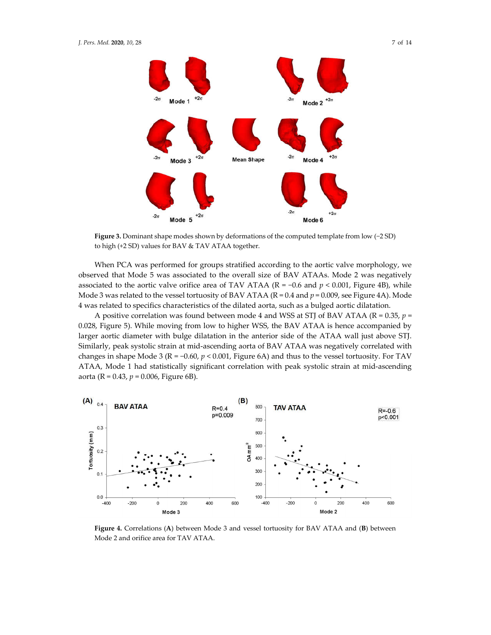

**Figure 3.** Dominant shape modes shown by deformations of the computed template from low (−2 SD) to high (+2 SD) values for BAV & TAV ATAA together.

When PCA was performed for groups stratified according to the aortic valve morphology, we observed that Mode 5 was associated to the overall size of BAV ATAAs. Mode 2 was negatively associated to the aortic valve orifice area of TAV ATAA ( $R = -0.6$  and  $p < 0.001$ , Figure 4B), while Mode 3 was related to the vessel tortuosity of BAV ATAA ( $R = 0.4$  and  $p = 0.009$ , see Figure 4A). Mode 4 was related to specifics characteristics of the dilated aorta, such as a bulged aortic dilatation.

A positive correlation was found between mode 4 and WSS at STJ of BAV ATAA ( $R = 0.35$ ,  $p =$ 0.028, Figure 5). While moving from low to higher WSS, the BAV ATAA is hence accompanied by larger aortic diameter with bulge dilatation in the anterior side of the ATAA wall just above STJ. Similarly, peak systolic strain at mid-ascending aorta of BAV ATAA was negatively correlated with changes in shape Mode 3 (R = −0.60, *p* < 0.001, Figure 6A) and thus to the vessel tortuosity. For TAV ATAA, Mode 1 had statistically significant correlation with peak systolic strain at mid-ascending aorta (R = 0.43, *p* = 0.006, Figure 6B).



**Figure 4.** Correlations (**A**) between Mode 3 and vessel tortuosity for BAV ATAA and (**B**) between Mode 2 and orifice area for TAV ATAA.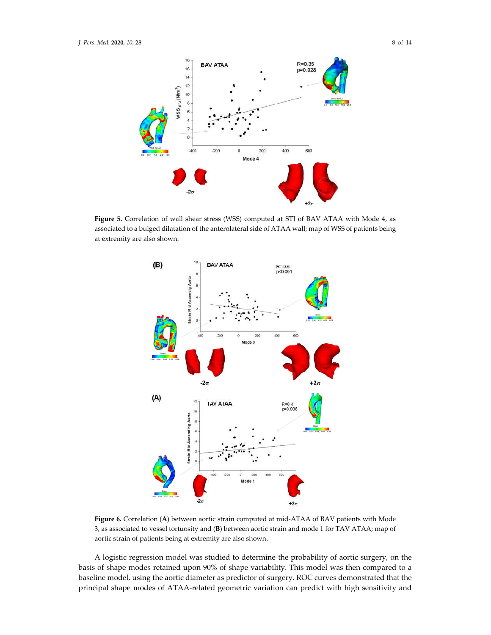

**Figure 5.** Correlation of wall shear stress (WSS) computed at STJ of BAV ATAA with Mode 4, as associated to a bulged dilatation of the anterolateral side of ATAA wall; map of WSS of patients being at extremity are also shown.



**Figure 6.** Correlation (**A**) between aortic strain computed at mid-ATAA of BAV patients with Mode 3, as associated to vessel tortuosity and (**B**) between aortic strain and mode 1 for TAV ATAA; map of aortic strain of patients being at extremity are also shown.

A logistic regression model was studied to determine the probability of aortic surgery, on the basis of shape modes retained upon 90% of shape variability. This model was then compared to a baseline model, using the aortic diameter as predictor of surgery. ROC curves demonstrated that the principal shape modes of ATAA-related geometric variation can predict with high sensitivity and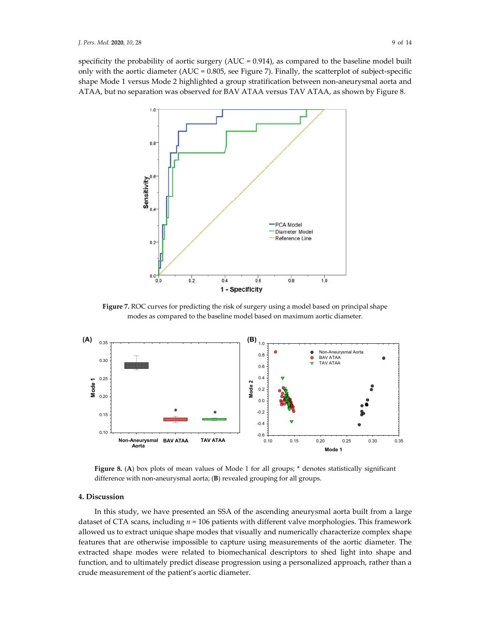specificity the probability of aortic surgery (AUC = 0.914), as compared to the baseline model built only with the aortic diameter ( $AUC = 0.805$ , see Figure 7). Finally, the scatterplot of subject-specific shape Mode 1 versus Mode 2 highlighted a group stratification between non-aneurysmal aorta and ATAA, but no separation was observed for BAV ATAA versus TAV ATAA, as shown by Figure 8.



**Figure 7.** ROC curves for predicting the risk of surgery using a model based on principal shape modes as compared to the baseline model based on maximum aortic diameter.



**Figure 8.** (**A**) box plots of mean values of Mode 1 for all groups; \* denotes statistically significant difference with non-aneurysmal aorta; (**B**) revealed grouping for all groups.

## **4. Discussion**

In this study, we have presented an SSA of the ascending aneurysmal aorta built from a large dataset of CTA scans, including *n* = 106 patients with different valve morphologies. This framework allowed us to extract unique shape modes that visually and numerically characterize complex shape features that are otherwise impossible to capture using measurements of the aortic diameter. The extracted shape modes were related to biomechanical descriptors to shed light into shape and function, and to ultimately predict disease progression using a personalized approach, rather than a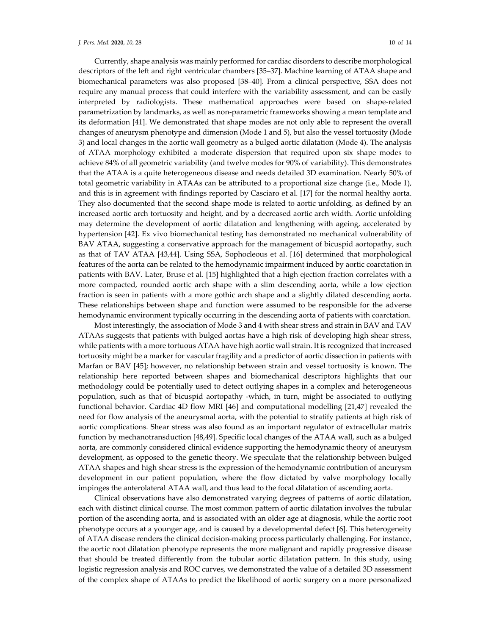#### *J. Pers. Med.* 2020, 10, 28 10 of 14

Currently, shape analysis was mainly performed for cardiac disorders to describe morphological descriptors of the left and right ventricular chambers [35–37]. Machine learning of ATAA shape and biomechanical parameters was also proposed [38–40]. From a clinical perspective, SSA does not require any manual process that could interfere with the variability assessment, and can be easily interpreted by radiologists. These mathematical approaches were based on shape-related parametrization by landmarks, as well as non-parametric frameworks showing a mean template and its deformation [41]. We demonstrated that shape modes are not only able to represent the overall changes of aneurysm phenotype and dimension (Mode 1 and 5), but also the vessel tortuosity (Mode 3) and local changes in the aortic wall geometry as a bulged aortic dilatation (Mode 4). The analysis of ATAA morphology exhibited a moderate dispersion that required upon six shape modes to achieve 84% of all geometric variability (and twelve modes for 90% of variability). This demonstrates that the ATAA is a quite heterogeneous disease and needs detailed 3D examination. Nearly 50% of total geometric variability in ATAAs can be attributed to a proportional size change (i.e., Mode 1), and this is in agreement with findings reported by Casciaro et al. [17] for the normal healthy aorta. They also documented that the second shape mode is related to aortic unfolding, as defined by an increased aortic arch tortuosity and height, and by a decreased aortic arch width. Aortic unfolding may determine the development of aortic dilatation and lengthening with ageing, accelerated by hypertension [42]. Ex vivo biomechanical testing has demonstrated no mechanical vulnerability of BAV ATAA, suggesting a conservative approach for the management of bicuspid aortopathy, such as that of TAV ATAA [43,44]. Using SSA, Sophocleous et al. [16] determined that morphological features of the aorta can be related to the hemodynamic impairment induced by aortic coarctation in patients with BAV. Later, Bruse et al. [15] highlighted that a high ejection fraction correlates with a more compacted, rounded aortic arch shape with a slim descending aorta, while a low ejection fraction is seen in patients with a more gothic arch shape and a slightly dilated descending aorta. These relationships between shape and function were assumed to be responsible for the adverse hemodynamic environment typically occurring in the descending aorta of patients with coarctation.

Most interestingly, the association of Mode 3 and 4 with shear stress and strain in BAV and TAV ATAAs suggests that patients with bulged aortas have a high risk of developing high shear stress, while patients with a more tortuous ATAA have high aortic wall strain. It is recognized that increased tortuosity might be a marker for vascular fragility and a predictor of aortic dissection in patients with Marfan or BAV [45]; however, no relationship between strain and vessel tortuosity is known. The relationship here reported between shapes and biomechanical descriptors highlights that our methodology could be potentially used to detect outlying shapes in a complex and heterogeneous population, such as that of bicuspid aortopathy -which, in turn, might be associated to outlying functional behavior. Cardiac 4D flow MRI [46] and computational modelling [21,47] revealed the need for flow analysis of the aneurysmal aorta, with the potential to stratify patients at high risk of aortic complications. Shear stress was also found as an important regulator of extracellular matrix function by mechanotransduction [48,49]. Specific local changes of the ATAA wall, such as a bulged aorta, are commonly considered clinical evidence supporting the hemodynamic theory of aneurysm development, as opposed to the genetic theory. We speculate that the relationship between bulged ATAA shapes and high shear stress is the expression of the hemodynamic contribution of aneurysm development in our patient population, where the flow dictated by valve morphology locally impinges the anterolateral ATAA wall, and thus lead to the focal dilatation of ascending aorta.

Clinical observations have also demonstrated varying degrees of patterns of aortic dilatation, each with distinct clinical course. The most common pattern of aortic dilatation involves the tubular portion of the ascending aorta, and is associated with an older age at diagnosis, while the aortic root phenotype occurs at a younger age, and is caused by a developmental defect [6]. This heterogeneity of ATAA disease renders the clinical decision-making process particularly challenging. For instance, the aortic root dilatation phenotype represents the more malignant and rapidly progressive disease that should be treated differently from the tubular aortic dilatation pattern. In this study, using logistic regression analysis and ROC curves, we demonstrated the value of a detailed 3D assessment of the complex shape of ATAAs to predict the likelihood of aortic surgery on a more personalized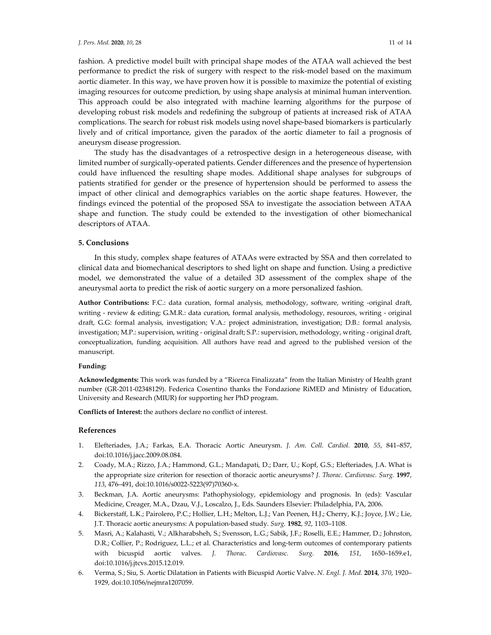fashion. A predictive model built with principal shape modes of the ATAA wall achieved the best performance to predict the risk of surgery with respect to the risk-model based on the maximum aortic diameter. In this way, we have proven how it is possible to maximize the potential of existing imaging resources for outcome prediction, by using shape analysis at minimal human intervention. This approach could be also integrated with machine learning algorithms for the purpose of developing robust risk models and redefining the subgroup of patients at increased risk of ATAA complications. The search for robust risk models using novel shape-based biomarkers is particularly lively and of critical importance, given the paradox of the aortic diameter to fail a prognosis of aneurysm disease progression.

The study has the disadvantages of a retrospective design in a heterogeneous disease, with limited number of surgically-operated patients. Gender differences and the presence of hypertension could have influenced the resulting shape modes. Additional shape analyses for subgroups of patients stratified for gender or the presence of hypertension should be performed to assess the impact of other clinical and demographics variables on the aortic shape features. However, the findings evinced the potential of the proposed SSA to investigate the association between ATAA shape and function. The study could be extended to the investigation of other biomechanical descriptors of ATAA.

## **5. Conclusions**

In this study, complex shape features of ATAAs were extracted by SSA and then correlated to clinical data and biomechanical descriptors to shed light on shape and function. Using a predictive model, we demonstrated the value of a detailed 3D assessment of the complex shape of the aneurysmal aorta to predict the risk of aortic surgery on a more personalized fashion.

**Author Contributions:** F.C.: data curation, formal analysis, methodology, software, writing -original draft, writing - review & editing; G.M.R.: data curation, formal analysis, methodology, resources, writing - original draft, G.G: formal analysis, investigation; V.A.: project administration, investigation; D.B.: formal analysis, investigation; M.P.: supervision, writing - original draft; S.P.: supervision, methodology, writing - original draft, conceptualization, funding acquisition. All authors have read and agreed to the published version of the manuscript.

## **Funding:**

**Acknowledgments:** This work was funded by a "Ricerca Finalizzata" from the Italian Ministry of Health grant number (GR-2011-02348129). Federica Cosentino thanks the Fondazione RiMED and Ministry of Education, University and Research (MIUR) for supporting her PhD program.

**Conflicts of Interest:** the authors declare no conflict of interest.

## **References**

- 1. Elefteriades, J.A.; Farkas, E.A. Thoracic Aortic Aneurysm. *J. Am. Coll. Cardiol.* **2010**, *55*, 841–857, doi:10.1016/j.jacc.2009.08.084.
- 2. Coady, M.A.; Rizzo, J.A.; Hammond, G.L.; Mandapati, D.; Darr, U.; Kopf, G.S.; Elefteriades, J.A. What is the appropriate size criterion for resection of thoracic aortic aneurysms? *J. Thorac. Cardiovasc. Surg.* **1997**, *113*, 476–491, doi:10.1016/s0022-5223(97)70360-x.
- 3. Beckman, J.A. Aortic aneurysms: Pathophysiology, epidemiology and prognosis. In (eds): Vascular Medicine, Creager, M.A., Dzau, V.J., Loscalzo, J., Eds. Saunders Elsevier: Philadelphia, PA, 2006.
- 4. Bickerstaff, L.K.; Pairolero, P.C.; Hollier, L.H.; Melton, L.J.; Van Peenen, H.J.; Cherry, K.J.; Joyce, J.W.; Lie, J.T. Thoracic aortic aneurysms: A population-based study. *Surg.* **1982**, *92*, 1103–1108.
- 5. Masri, A.; Kalahasti, V.; Alkharabsheh, S.; Svensson, L.G.; Sabik, J.F.; Roselli, E.E.; Hammer, D.; Johnston, D.R.; Collier, P.; Rodriguez, L.L.; et al. Characteristics and long-term outcomes of contemporary patients with bicuspid aortic valves. *J. Thorac. Cardiovasc. Surg.* **2016**, *151*, 1650–1659.e1, doi:10.1016/j.jtcvs.2015.12.019.
- 6. Verma, S.; Siu, S. Aortic Dilatation in Patients with Bicuspid Aortic Valve. *N. Engl. J. Med.* **2014**, *370*, 1920– 1929, doi:10.1056/nejmra1207059.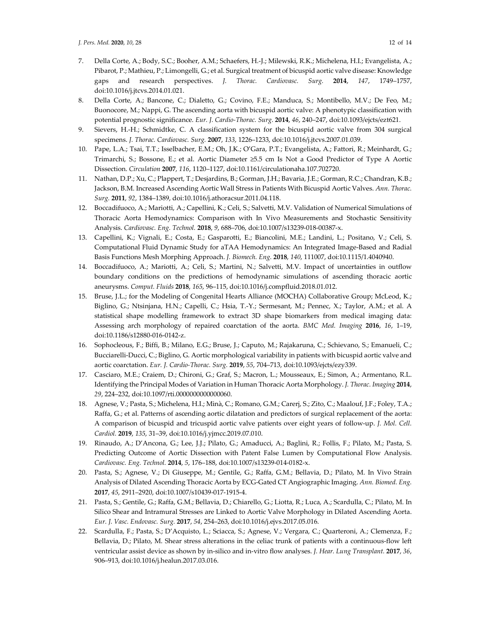- 7. Della Corte, A.; Body, S.C.; Booher, A.M.; Schaefers, H.-J.; Milewski, R.K.; Michelena, H.I.; Evangelista, A.; Pibarot, P.; Mathieu, P.; Limongelli, G.; et al. Surgical treatment of bicuspid aortic valve disease: Knowledge gaps and research perspectives. *J. Thorac. Cardiovasc. Surg.* **2014**, *147*, 1749–1757, doi:10.1016/j.jtcvs.2014.01.021.
- 8. Della Corte, A.; Bancone, C.; Dialetto, G.; Covino, F.E.; Manduca, S.; Montibello, M.V.; De Feo, M.; Buonocore, M.; Nappi, G. The ascending aorta with bicuspid aortic valve: A phenotypic classification with potential prognostic significance. *Eur. J. Cardio-Thorac. Surg.* **2014**, *46*, 240–247, doi:10.1093/ejcts/ezt621.
- 9. Sievers, H.-H.; Schmidtke, C. A classification system for the bicuspid aortic valve from 304 surgical specimens. *J. Thorac. Cardiovasc. Surg.* **2007**, *133*, 1226–1233, doi:10.1016/j.jtcvs.2007.01.039.
- 10. Pape, L.A.; Tsai, T.T.; Isselbacher, E.M.; Oh, J.K.; O'Gara, P.T.; Evangelista, A.; Fattori, R.; Meinhardt, G.; Trimarchi, S.; Bossone, E.; et al. Aortic Diameter ≥5.5 cm Is Not a Good Predictor of Type A Aortic Dissection. *Circulation* **2007**, *116*, 1120–1127, doi:10.1161/circulationaha.107.702720.
- 11. Nathan, D.P.; Xu, C.; Plappert, T.; Desjardins, B.; Gorman, J.H.; Bavaria, J.E.; Gorman, R.C.; Chandran, K.B.; Jackson, B.M. Increased Ascending Aortic Wall Stress in Patients With Bicuspid Aortic Valves. *Ann. Thorac. Surg.* **2011**, *92*, 1384–1389, doi:10.1016/j.athoracsur.2011.04.118.
- 12. Boccadifuoco, A.; Mariotti, A.; Capellini, K.; Celi, S.; Salvetti, M.V. Validation of Numerical Simulations of Thoracic Aorta Hemodynamics: Comparison with In Vivo Measurements and Stochastic Sensitivity Analysis. *Cardiovasc. Eng. Technol.* **2018**, *9*, 688–706, doi:10.1007/s13239-018-00387-x.
- 13. Capellini, K.; Vignali, E.; Costa, E.; Gasparotti, E.; Biancolini, M.E.; Landini, L.; Positano, V.; Celi, S. Computational Fluid Dynamic Study for aTAA Hemodynamics: An Integrated Image-Based and Radial Basis Functions Mesh Morphing Approach. *J. Biomech. Eng.* **2018**, *140*, 111007, doi:10.1115/1.4040940.
- 14. Boccadifuoco, A.; Mariotti, A.; Celi, S.; Martini, N.; Salvetti, M.V. Impact of uncertainties in outflow boundary conditions on the predictions of hemodynamic simulations of ascending thoracic aortic aneurysms. *Comput. Fluids* **2018**, *165*, 96–115, doi:10.1016/j.compfluid.2018.01.012.
- 15. Bruse, J.L.; for the Modeling of Congenital Hearts Alliance (MOCHA) Collaborative Group; McLeod, K.; Biglino, G.; Ntsinjana, H.N.; Capelli, C.; Hsia, T.-Y.; Sermesant, M.; Pennec, X.; Taylor, A.M.; et al. A statistical shape modelling framework to extract 3D shape biomarkers from medical imaging data: Assessing arch morphology of repaired coarctation of the aorta. *BMC Med. Imaging* **2016**, *16*, 1–19, doi:10.1186/s12880-016-0142-z.
- 16. Sophocleous, F.; Biffi, B.; Milano, E.G.; Bruse, J.; Caputo, M.; Rajakaruna, C.; Schievano, S.; Emanueli, C.; Bucciarelli-Ducci, C.; Biglino, G. Aortic morphological variability in patients with bicuspid aortic valve and aortic coarctation. *Eur. J. Cardio-Thorac. Surg.* **2019**, *55*, 704–713, doi:10.1093/ejcts/ezy339.
- 17. Casciaro, M.E.; Craiem, D.; Chironi, G.; Graf, S.; Macron, L.; Mousseaux, E.; Simon, A.; Armentano, R.L. Identifying the Principal Modes of Variation in Human Thoracic Aorta Morphology. *J. Thorac. Imaging* **2014**, *29*, 224–232, doi:10.1097/rti.0000000000000060.
- 18. Agnese, V.; Pasta, S.; Michelena, H.I.; Minà, C.; Romano, G.M.; Carerj, S.; Zito, C.; Maalouf, J.F.; Foley, T.A.; Raffa, G.; et al. Patterns of ascending aortic dilatation and predictors of surgical replacement of the aorta: A comparison of bicuspid and tricuspid aortic valve patients over eight years of follow-up. *J. Mol. Cell. Cardiol.* **2019**, *135*, 31–39, doi:10.1016/j.yjmcc.2019.07.010.
- 19. Rinaudo, A.; D'Ancona, G.; Lee, J.J.; Pilato, G.; Amaducci, A.; Baglini, R.; Follis, F.; Pilato, M.; Pasta, S. Predicting Outcome of Aortic Dissection with Patent False Lumen by Computational Flow Analysis. *Cardiovasc. Eng. Technol.* **2014**, *5*, 176–188, doi:10.1007/s13239-014-0182-x.
- 20. Pasta, S.; Agnese, V.; Di Giuseppe, M.; Gentile, G.; Raffa, G.M.; Bellavia, D.; Pilato, M. In Vivo Strain Analysis of Dilated Ascending Thoracic Aorta by ECG-Gated CT Angiographic Imaging. *Ann. Biomed. Eng.* **2017**, *45*, 2911–2920, doi:10.1007/s10439-017-1915-4.
- 21. Pasta, S.; Gentile, G.; Raffa, G.M.; Bellavia, D.; Chiarello, G.; Liotta, R.; Luca, A.; Scardulla, C.; Pilato, M. In Silico Shear and Intramural Stresses are Linked to Aortic Valve Morphology in Dilated Ascending Aorta. *Eur. J. Vasc. Endovasc. Surg.* **2017**, *54*, 254–263, doi:10.1016/j.ejvs.2017.05.016.
- 22. Scardulla, F.; Pasta, S.; D'Acquisto, L.; Sciacca, S.; Agnese, V.; Vergara, C.; Quarteroni, A.; Clemenza, F.; Bellavia, D.; Pilato, M. Shear stress alterations in the celiac trunk of patients with a continuous-flow left ventricular assist device as shown by in-silico and in-vitro flow analyses. *J. Hear. Lung Transplant.* **2017**, *36*, 906–913, doi:10.1016/j.healun.2017.03.016.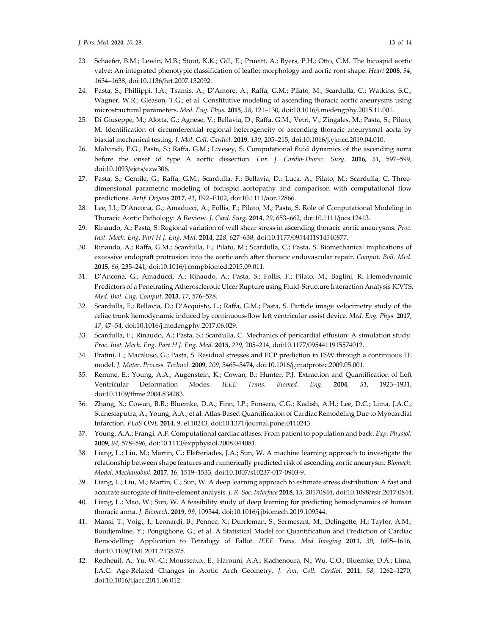- 23. Schaefer, B.M.; Lewin, M.B.; Stout, K.K.; Gill, E.; Prueitt, A.; Byers, P.H.; Otto, C.M. The bicuspid aortic valve: An integrated phenotypic classification of leaflet morphology and aortic root shape. *Heart* **2008**, *94*, 1634–1638, doi:10.1136/hrt.2007.132092.
- 24. Pasta, S.; Phillippi, J.A.; Tsamis, A.; D'Amore, A.; Raffa, G.M.; Pilato, M.; Scardulla, C.; Watkins, S.C.; Wagner, W.R.; Gleason, T.G.; et al. Constitutive modeling of ascending thoracic aortic aneurysms using microstructural parameters. *Med. Eng. Phys.* **2015**, *38*, 121–130, doi:10.1016/j.medengphy.2015.11.001.
- 25. Di Giuseppe, M.; Alotta, G.; Agnese, V.; Bellavia, D.; Raffa, G.M.; Vetri, V.; Zingales, M.; Pasta, S.; Pilato, M. Identification of circumferential regional heterogeneity of ascending thoracic aneurysmal aorta by biaxial mechanical testing. *J. Mol. Cell. Cardiol.* **2019**, *130*, 205–215, doi:10.1016/j.yjmcc.2019.04.010.
- 26. Malvindi, P.G.; Pasta, S.; Raffa, G.M.; Livesey, S. Computational fluid dynamics of the ascending aorta before the onset of type A aortic dissection. *Eur. J. Cardio-Thorac. Surg.* **2016**, *51*, 597–599, doi:10.1093/ejcts/ezw306.
- 27. Pasta, S.; Gentile, G.; Raffa, G.M.; Scardulla, F.; Bellavia, D.; Luca, A.; Pilato, M.; Scardulla, C. Threedimensional parametric modeling of bicuspid aortopathy and comparison with computational flow predictions. *Artif. Organs* **2017**, *41*, E92–E102, doi:10.1111/aor.12866.
- 28. Lee, J.J.; D'Ancona, G.; Amaducci, A.; Follis, F.; Pilato, M.; Pasta, S. Role of Computational Modeling in Thoracic Aortic Pathology: A Review. *J. Card. Surg.* **2014**, *29*, 653–662, doi:10.1111/jocs.12413.
- 29. Rinaudo, A.; Pasta, S. Regional variation of wall shear stress in ascending thoracic aortic aneurysms. *Proc. Inst. Mech. Eng. Part H J. Eng. Med.* **2014**, *228*, 627–638, doi:10.1177/0954411914540877.
- 30. Rinaudo, A.; Raffa, G.M.; Scardulla, F.; Pilato, M.; Scardulla, C.; Pasta, S. Biomechanical implications of excessive endograft protrusion into the aortic arch after thoracic endovascular repair. *Comput. Boil. Med.* **2015**, *66*, 235–241, doi:10.1016/j.compbiomed.2015.09.011.
- 31. D'Ancona, G.; Amaducci, A.; Rinaudo, A.; Pasta, S.; Follis, F.; Pilato, M.; Baglini, R. Hemodynamic Predictors of a Penetrating Atherosclerotic Ulcer Rupture using Fluid-Structure Interaction Analysis ICVTS. *Med. Biol. Eng. Comput.* **2013**, *17*, 576–578.
- 32. Scardulla, F.; Bellavia, D.; D'Acquisto, L.; Raffa, G.M.; Pasta, S. Particle image velocimetry study of the celiac trunk hemodynamic induced by continuous-flow left ventricular assist device. *Med. Eng. Phys.* **2017**, *47*, 47–54, doi:10.1016/j.medengphy.2017.06.029.
- 33. Scardulla, F.; Rinaudo, A.; Pasta, S.; Scardulla, C. Mechanics of pericardial effusion: A simulation study. *Proc. Inst. Mech. Eng. Part H J. Eng. Med.* **2015**, *229*, 205–214, doi:10.1177/0954411915574012.
- 34. Fratini, L.; Macaluso, G.; Pasta, S. Residual stresses and FCP prediction in FSW through a continuous FE model. *J. Mater. Process. Technol.* **2009**, *209*, 5465–5474, doi:10.1016/j.jmatprotec.2009.05.001.
- 35. Remme, E.; Young, A.A.; Augenstein, K.; Cowan, B.; Hunter, P.J. Extraction and Quantification of Left Ventricular Deformation Modes. *IEEE Trans. Biomed. Eng.* **2004**, *51*, 1923–1931, doi:10.1109/tbme.2004.834283.
- 36. Zhang, X.; Cowan, B.R.; Bluemke, D.A.; Finn, J.P.; Fonseca, C.G.; Kadish, A.H.; Lee, D.C.; Lima, J.A.C.; Suinesiaputra, A.; Young, A.A.; et al. Atlas-Based Quantification of Cardiac Remodeling Due to Myocardial Infarction. *PLoS ONE* **2014**, *9*, e110243, doi:10.1371/journal.pone.0110243.
- 37. Young, A.A.; Frangi, A.F. Computational cardiac atlases: From patient to population and back. *Exp. Physiol.* **2009**, *94*, 578–596, doi:10.1113/expphysiol.2008.044081.
- 38. Liang, L.; Liu, M.; Martin, C.; Elefteriades, J.A.; Sun, W. A machine learning approach to investigate the relationship between shape features and numerically predicted risk of ascending aortic aneurysm. *Biomech. Model. Mechanobiol.* **2017**, *16*, 1519–1533, doi:10.1007/s10237-017-0903-9.
- 39. Liang, L.; Liu, M.; Martin, C.; Sun, W. A deep learning approach to estimate stress distribution: A fast and accurate surrogate of finite-element analysis. *J. R. Soc. Interface* **2018**, *15*, 20170844, doi:10.1098/rsif.2017.0844.
- 40. Liang, L.; Mao, W.; Sun, W. A feasibility study of deep learning for predicting hemodynamics of human thoracic aorta. *J. Biomech.* **2019**, *99*, 109544, doi:10.1016/j.jbiomech.2019.109544.
- 41. Mansi, T.; Voigt, I.; Leonardi, B.; Pennec, X.; Durrleman, S.; Sermesant, M.; Delingette, H.; Taylor, A.M.; Boudjemline, Y.; Pongiglione, G.; et al. A Statistical Model for Quantification and Prediction of Cardiac Remodelling: Application to Tetralogy of Fallot. *IEEE Trans. Med Imaging* **2011**, *30*, 1605–1616, doi:10.1109/TMI.2011.2135375.
- 42. Redheuil, A.; Yu, W.-C.; Mousseaux, E.; Harouni, A.A.; Kachenoura, N.; Wu, C.O.; Bluemke, D.A.; Lima, J.A.C. Age-Related Changes in Aortic Arch Geometry. *J. Am. Coll. Cardiol.* **2011**, *58*, 1262–1270, doi:10.1016/j.jacc.2011.06.012.